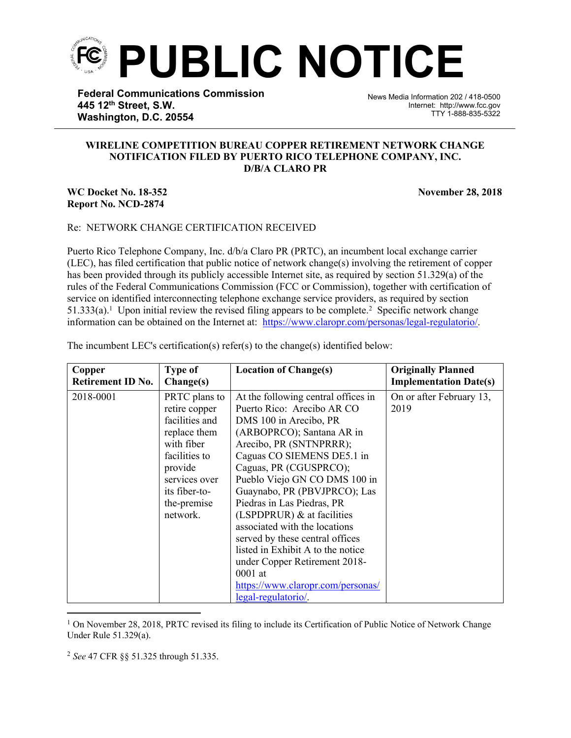

**Federal Communications Commission 445 12th Street, S.W. Washington, D.C. 20554**

News Media Information 202 / 418-0500 Internet: http://www.fcc.gov TTY 1-888-835-5322

## **WIRELINE COMPETITION BUREAU COPPER RETIREMENT NETWORK CHANGE NOTIFICATION FILED BY PUERTO RICO TELEPHONE COMPANY, INC. D/B/A CLARO PR**

## **WC Docket No. 18-352 November 28, 2018 Report No. NCD-2874**

֡֡֡֡

## Re: NETWORK CHANGE CERTIFICATION RECEIVED

Puerto Rico Telephone Company, Inc. d/b/a Claro PR (PRTC), an incumbent local exchange carrier (LEC), has filed certification that public notice of network change(s) involving the retirement of copper has been provided through its publicly accessible Internet site, as required by section 51.329(a) of the rules of the Federal Communications Commission (FCC or Commission), together with certification of service on identified interconnecting telephone exchange service providers, as required by section 51.333(a).<sup>1</sup> Upon initial review the revised filing appears to be complete.<sup>2</sup> Specific network change information can be obtained on the Internet at: [https://www.claropr.com/personas/legal-regulatorio/.](https://www.claropr.com/personas/legal-regulatorio/)

| Copper                   | <b>Type of</b>                                                                                                                                                          | <b>Location of Change(s)</b>                                                                                                                                                                                                                                                                                                                                                                                                                                                                                                                                  | <b>Originally Planned</b>        |
|--------------------------|-------------------------------------------------------------------------------------------------------------------------------------------------------------------------|---------------------------------------------------------------------------------------------------------------------------------------------------------------------------------------------------------------------------------------------------------------------------------------------------------------------------------------------------------------------------------------------------------------------------------------------------------------------------------------------------------------------------------------------------------------|----------------------------------|
| <b>Retirement ID No.</b> | Change(s)                                                                                                                                                               |                                                                                                                                                                                                                                                                                                                                                                                                                                                                                                                                                               | <b>Implementation Date(s)</b>    |
| 2018-0001                | PRTC plans to<br>retire copper<br>facilities and<br>replace them<br>with fiber<br>facilities to<br>provide<br>services over<br>its fiber-to-<br>the-premise<br>network. | At the following central offices in<br>Puerto Rico: Arecibo AR CO<br>DMS 100 in Arecibo, PR<br>(ARBOPRCO); Santana AR in<br>Arecibo, PR (SNTNPRRR);<br>Caguas CO SIEMENS DE5.1 in<br>Caguas, PR (CGUSPRCO);<br>Pueblo Viejo GN CO DMS 100 in<br>Guaynabo, PR (PBVJPRCO); Las<br>Piedras in Las Piedras, PR<br>(LSPDPRUR) $\&$ at facilities<br>associated with the locations<br>served by these central offices<br>listed in Exhibit A to the notice<br>under Copper Retirement 2018-<br>$0001$ at<br>https://www.claropr.com/personas/<br>legal-regulatorio. | On or after February 13,<br>2019 |

The incumbent LEC's certification(s) refer(s) to the change(s) identified below:

<sup>1</sup> On November 28, 2018, PRTC revised its filing to include its Certification of Public Notice of Network Change Under Rule 51.329(a).

<sup>2</sup> *See* 47 CFR §§ 51.325 through 51.335.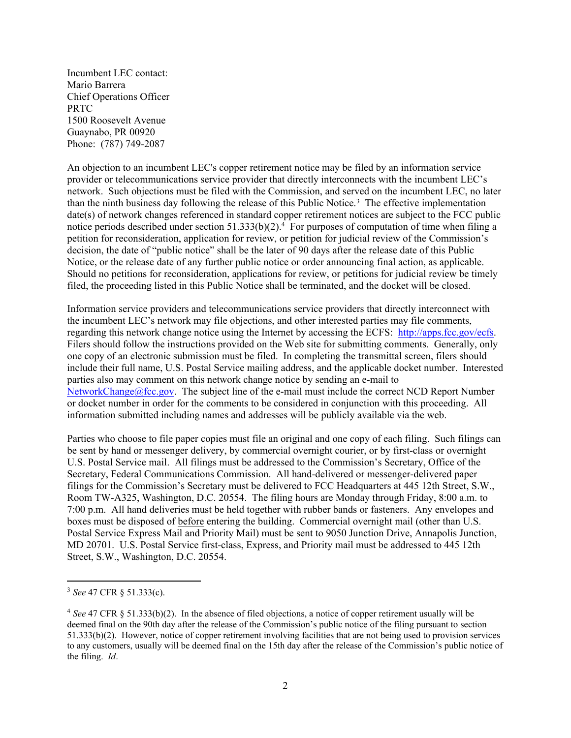Incumbent LEC contact: Mario Barrera Chief Operations Officer PRTC 1500 Roosevelt Avenue Guaynabo, PR 00920 Phone: (787) 749-2087

An objection to an incumbent LEC's copper retirement notice may be filed by an information service provider or telecommunications service provider that directly interconnects with the incumbent LEC's network. Such objections must be filed with the Commission, and served on the incumbent LEC, no later than the ninth business day following the release of this Public Notice.<sup>3</sup> The effective implementation date(s) of network changes referenced in standard copper retirement notices are subject to the FCC public notice periods described under section 51.333(b)(2).<sup>4</sup> For purposes of computation of time when filing a petition for reconsideration, application for review, or petition for judicial review of the Commission's decision, the date of "public notice" shall be the later of 90 days after the release date of this Public Notice, or the release date of any further public notice or order announcing final action, as applicable. Should no petitions for reconsideration, applications for review, or petitions for judicial review be timely filed, the proceeding listed in this Public Notice shall be terminated, and the docket will be closed.

Information service providers and telecommunications service providers that directly interconnect with the incumbent LEC's network may file objections, and other interested parties may file comments, regarding this network change notice using the Internet by accessing the ECFS: [http://apps.fcc.gov/ecfs.](http://apps.fcc.gov/ecfs) Filers should follow the instructions provided on the Web site for submitting comments. Generally, only one copy of an electronic submission must be filed. In completing the transmittal screen, filers should include their full name, U.S. Postal Service mailing address, and the applicable docket number. Interested parties also may comment on this network change notice by sending an e-mail to [NetworkChange@fcc.gov.](mailto:NetworkChange@fcc.gov) The subject line of the e-mail must include the correct NCD Report Number or docket number in order for the comments to be considered in conjunction with this proceeding. All information submitted including names and addresses will be publicly available via the web.

Parties who choose to file paper copies must file an original and one copy of each filing. Such filings can be sent by hand or messenger delivery, by commercial overnight courier, or by first-class or overnight U.S. Postal Service mail. All filings must be addressed to the Commission's Secretary, Office of the Secretary, Federal Communications Commission. All hand-delivered or messenger-delivered paper filings for the Commission's Secretary must be delivered to FCC Headquarters at 445 12th Street, S.W., Room TW-A325, Washington, D.C. 20554. The filing hours are Monday through Friday, 8:00 a.m. to 7:00 p.m. All hand deliveries must be held together with rubber bands or fasteners. Any envelopes and boxes must be disposed of before entering the building. Commercial overnight mail (other than U.S. Postal Service Express Mail and Priority Mail) must be sent to 9050 Junction Drive, Annapolis Junction, MD 20701. U.S. Postal Service first-class, Express, and Priority mail must be addressed to 445 12th Street, S.W., Washington, D.C. 20554.

<sup>3</sup> *See* 47 CFR § 51.333(c).

<sup>4</sup> *See* 47 CFR § 51.333(b)(2). In the absence of filed objections, a notice of copper retirement usually will be deemed final on the 90th day after the release of the Commission's public notice of the filing pursuant to section 51.333(b)(2). However, notice of copper retirement involving facilities that are not being used to provision services to any customers, usually will be deemed final on the 15th day after the release of the Commission's public notice of the filing. *Id*.